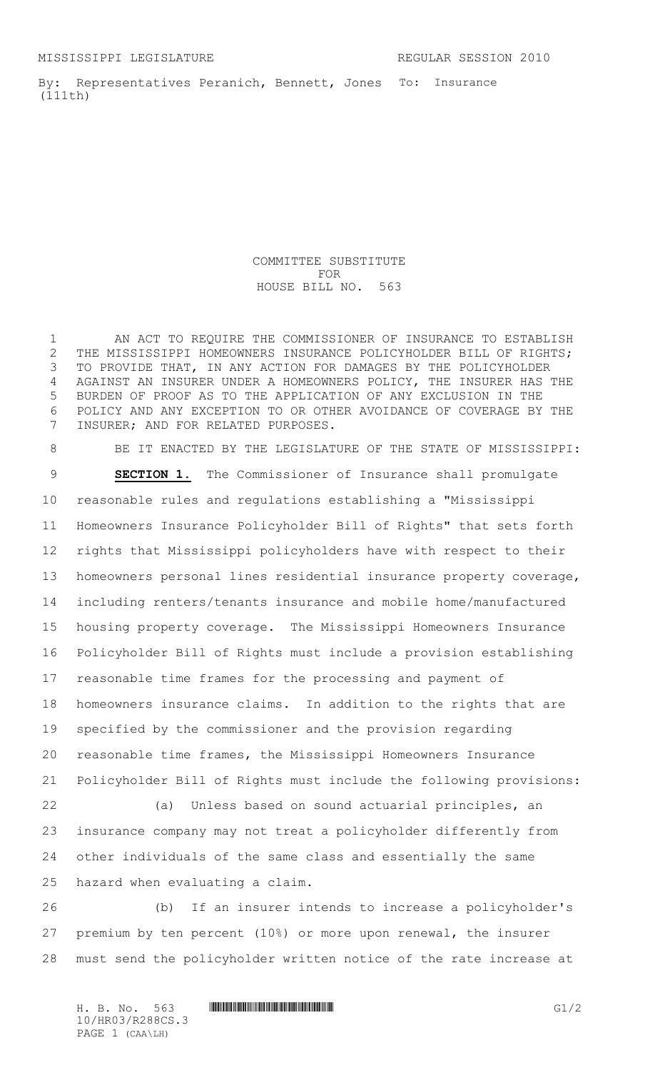By: Representatives Peranich, Bennett, Jones To: Insurance (111th)

> COMMITTEE SUBSTITUTE FOR HOUSE BILL NO. 563

1 AN ACT TO REQUIRE THE COMMISSIONER OF INSURANCE TO ESTABLISH THE MISSISSIPPI HOMEOWNERS INSURANCE POLICYHOLDER BILL OF RIGHTS; TO PROVIDE THAT, IN ANY ACTION FOR DAMAGES BY THE POLICYHOLDER AGAINST AN INSURER UNDER A HOMEOWNERS POLICY, THE INSURER HAS THE BURDEN OF PROOF AS TO THE APPLICATION OF ANY EXCLUSION IN THE POLICY AND ANY EXCEPTION TO OR OTHER AVOIDANCE OF COVERAGE BY THE INSURER; AND FOR RELATED PURPOSES.

8 BE IT ENACTED BY THE LEGISLATURE OF THE STATE OF MISSISSIPPI: **SECTION 1.** The Commissioner of Insurance shall promulgate reasonable rules and regulations establishing a "Mississippi Homeowners Insurance Policyholder Bill of Rights" that sets forth rights that Mississippi policyholders have with respect to their homeowners personal lines residential insurance property coverage, including renters/tenants insurance and mobile home/manufactured housing property coverage. The Mississippi Homeowners Insurance Policyholder Bill of Rights must include a provision establishing reasonable time frames for the processing and payment of homeowners insurance claims. In addition to the rights that are specified by the commissioner and the provision regarding reasonable time frames, the Mississippi Homeowners Insurance Policyholder Bill of Rights must include the following provisions: (a) Unless based on sound actuarial principles, an insurance company may not treat a policyholder differently from other individuals of the same class and essentially the same hazard when evaluating a claim. (b) If an insurer intends to increase a policyholder's

 premium by ten percent (10%) or more upon renewal, the insurer must send the policyholder written notice of the rate increase at